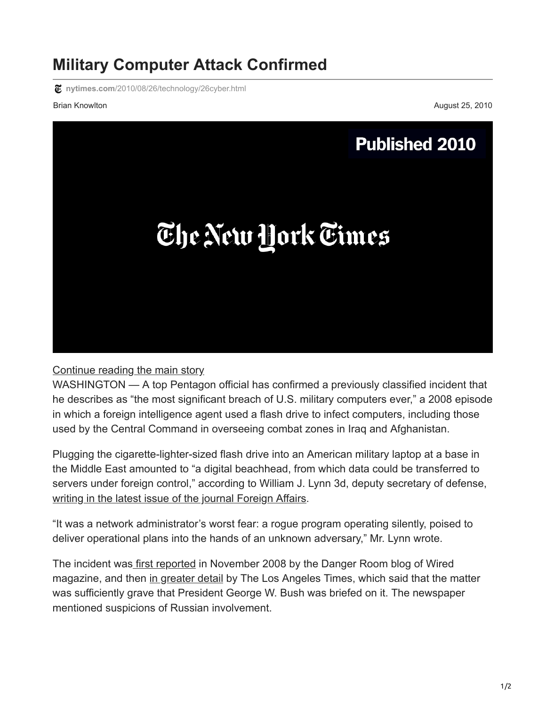## **Military Computer Attack Confirmed**

**nytimes.com**[/2010/08/26/technology/26cyber.html](https://www.nytimes.com/2010/08/26/technology/26cyber.html)

Brian Knowlton August 25, 2010



Continue reading the main story

WASHINGTON — A top Pentagon official has confirmed a previously classified incident that he describes as "the most significant breach of U.S. military computers ever," a 2008 episode in which a foreign intelligence agent used a flash drive to infect computers, including those used by the Central Command in overseeing combat zones in Iraq and Afghanistan.

Plugging the cigarette-lighter-sized flash drive into an American military laptop at a base in the Middle East amounted to "a digital beachhead, from which data could be transferred to servers under foreign control," according to William J. Lynn 3d, deputy secretary of defense, [writing in the latest issue of the journal Foreign Affairs.](http://www.foreignaffairs.com/articles/66552/william-j-lynn-iii/defending-a-new-domain)

"It was a network administrator's worst fear: a rogue program operating silently, poised to deliver operational plans into the hands of an unknown adversary," Mr. Lynn wrote.

The incident was [first reported](http://www.wired.com/dangerroom/2008/11/army-bans-usb-d/) in November 2008 by the Danger Room blog of Wired magazine, and then [in greater detail](http://articles.latimes.com/2008/nov/28/nation/na-cyberattack28) by The Los Angeles Times, which said that the matter was sufficiently grave that President George W. Bush was briefed on it. The newspaper mentioned suspicions of Russian involvement.